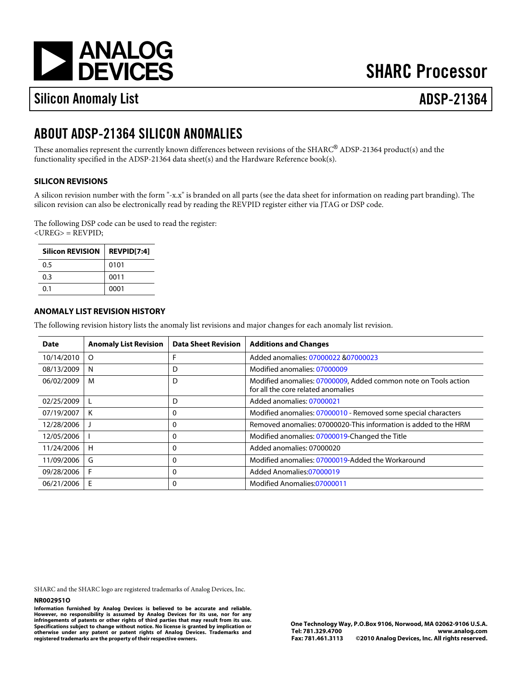[a](http://www.analog.com)

# **SHARC Processor**

# Silicon Anomaly List ADSP-21364

## ABOUT ADSP-21364 SILICON ANOMALIES

These anomalies represent the currently known differences between revisions of the SHARC®ADSP-21364 product(s) and the functionality specified in the ADSP-21364 data sheet(s) and the Hardware Reference book(s).

### SILICON REVISIONS

A silicon revision number with the form "-x.x" is branded on all parts (see the data sheet for information on reading part branding). The silicon revision can also be electronically read by reading the REVPID register either via JTAG or DSP code.

The following DSP code can be used to read the register: <UREG> = REVPID;

| Silicon REVISION REVPID[7:4] |      |
|------------------------------|------|
| 0.5                          | 0101 |
| 0.3                          | 0011 |
| 0.1                          | 0001 |

### ANOMALY LIST REVISION HISTORY

The following revision history lists the anomaly list revisions and major changes for each anomaly list revision.

| Date           | Anomaly List Revision | Data Sheet Revision | <b>Additions and Changes</b>                                                                       |
|----------------|-----------------------|---------------------|----------------------------------------------------------------------------------------------------|
| 10/14/2010   O |                       | F                   | Added anomalies07000022807000023                                                                   |
| 08/13/2009   N |                       | D                   | Modified anomalies07000009                                                                         |
| 06/02/2009     | M                     | D                   | Modified anomalies07000009 Added common note on Tools action<br>for all the core related anomalies |
| 02/25/2009   L |                       | D                   | Added anomalies07000021                                                                            |
| $07/19/2007$ K |                       | 0                   | Modified anomalies07000010- Removed some special characters                                        |
| 12/28/2006 J   |                       | 0                   | Removed anomalies 37000020 This information is added to the HRM                                    |
| 12/05/2006     |                       | 0                   | Modified anomalies07000019Changed the Title                                                        |
| 11/24/2006   H |                       | 0                   | Added anomalies07000020                                                                            |
| 11/09/2006 G   |                       | 0                   | Modified anomalies07000019Added the Workaround                                                     |
| 09/28/2006 F   |                       | 0                   | Added Anomalies07000019                                                                            |
| 06/21/2006 E   |                       | 0                   | Modified Anomalies07000011                                                                         |

SHARC and the SHARC logo are registered trademarks of Analog Devices, Inc.

### NR002951O

Information furnished by Analog Devices is believed to be accurate and reliable. However, no responsibility is assumed by Analog Devices for its use, nor for any infringements of patents or other rights of third parties that may result from its use. Specifications subject to change without notice. No license is granted by implication or otherwise under any patent or patent rights of Analog Devices. Trademarks and registered trademarks are the property of their respective owners.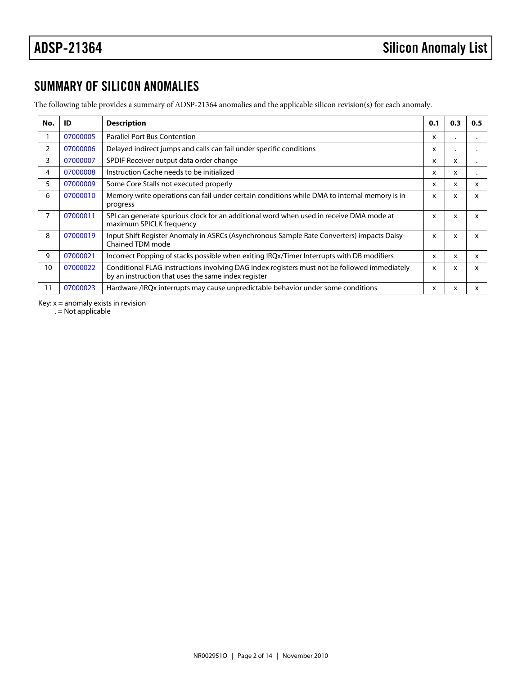## SUMMARY OF SILICON ANOMALIES

The following table provides a summary of ADSP-21364 anomalies and the applicable silicon revision(s) for each anomaly.

<span id="page-1-5"></span><span id="page-1-4"></span><span id="page-1-3"></span><span id="page-1-2"></span><span id="page-1-1"></span><span id="page-1-0"></span>

| No.            | ID       | 0.1<br>Description                                                                                                                                  |              |   | 0.5 |
|----------------|----------|-----------------------------------------------------------------------------------------------------------------------------------------------------|--------------|---|-----|
| 1              | 07000005 | <b>Parallel Port Bus Contention</b>                                                                                                                 |              |   |     |
| 2              | 07000006 | Delayed indirect jumps and calls can fail under specific conditions                                                                                 | x            |   |     |
| 3              | 07000007 | SPDIF Receiver output data order change                                                                                                             | x            | x |     |
| 4              | 07000008 | Instruction Cache needs to be initialized                                                                                                           | x            | x |     |
| 5              | 07000009 | Some Core Stalls not executed properly                                                                                                              | x            | x | x   |
| 6              | 07000010 | Memory write operations can fail under certain conditions while DMA to internal memory is in<br>progress                                            | x            | x | x   |
| $\overline{7}$ | 07000011 | SPI can generate spurious clock for an additional word when used in receive DMA mode at<br>maximum SPICLK frequency                                 | x            | X | x   |
| 8              | 07000019 | Input Shift Register Anomaly in ASRCs (Asynchronous Sample Rate Converters) impacts Daisy-x<br>Chained TDM mode                                     |              | x | x   |
| 9              | 07000021 | Incorrect Popping of stacks possible when exiting IRQx/Timer Interrupts with DB modifiers                                                           | x            | x | x   |
| 10             | 07000022 | Conditional FLAG instructions involving DAG index registers must not be followed immediately<br>by an instruction that uses the same index register | $\mathsf{x}$ | X | x   |
| 11             | 07000023 | Hardware /IRQx interrupts may cause unpredictable behavior under some conditions                                                                    | x            | x | x   |

<span id="page-1-10"></span><span id="page-1-9"></span><span id="page-1-8"></span><span id="page-1-7"></span><span id="page-1-6"></span>Key:  $x =$  anomaly exists in revision

. = Not applicable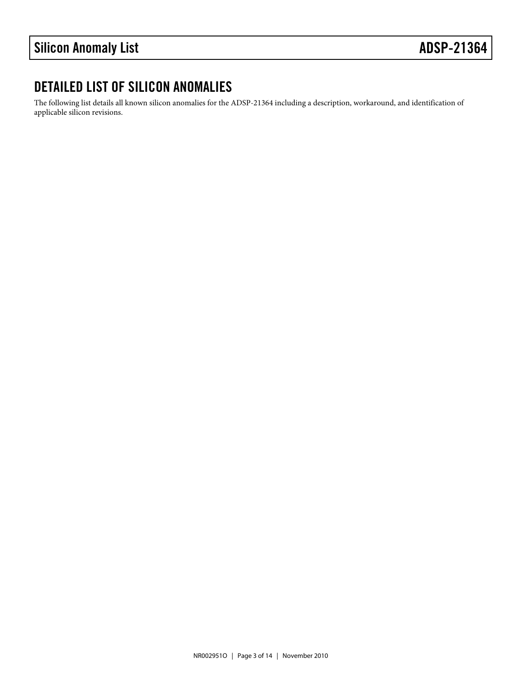## DETAILED LIST OF SILICON ANOMALIES

The following list details all known silicon anomalies for the ADSP-21364 including a description, workaround, and identification of applicable silicon revisions.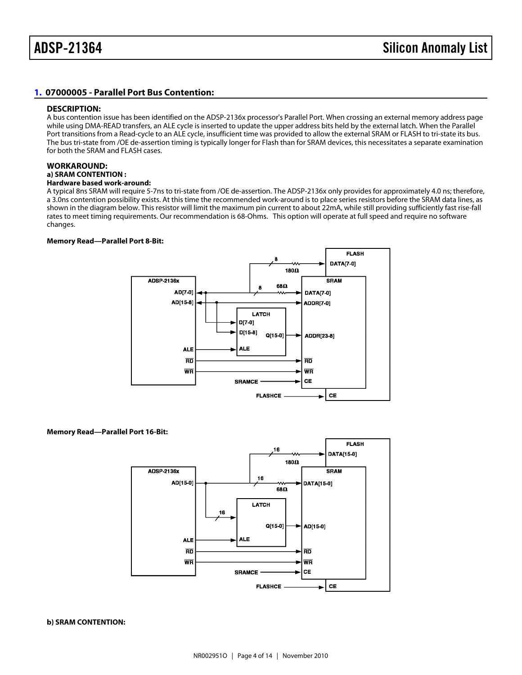### <span id="page-3-0"></span>[1.](#page-1-0) 07000005 - Parallel Port Bus Contention:

### DESCRIPTION:

A bus contention issue has been identified on the ADSP-2136x processor's Parallel Port. When crossing an external memory address page while using DMA-READ transfers, an ALE cycle is inserted to update the upper address bits held by the external latch. When the Parallel Port transitions from a Read-cycle to an ALE cycle, insufficient time was provided to allow the external SRAM or FLASH to tri-state its bus. The bus tri-state from /OE de-assertion timing is typically longer for Flash than for SRAM devices, this necessitates a separate examination for both the SRAM and FLASH cases.

### WORKAROUND:

### a) SRAM CONTENTION :

Hardware based work-around:

A typical 8ns SRAM will require 5-7ns to tri-state from /OE de-assertion. The ADSP-2136x only provides for approximately 4.0 ns; therefore, a 3.0ns contention possibility exists. At this time the recommended work-around is to place series resistors before the SRAM data lines, as shown in the diagram below. This resistor will limit the maximum pin current to about 22mA, while still providing sufficiently fast rise-fall rates to meet timing requirements. Our recommendation is 68-Ohms. This option will operate at full speed and require no software changes.

Memory Read—Parallel Port 8-Bit:

Memory Read—Parallel Port 16-Bit:

b) SRAM CONTENTION: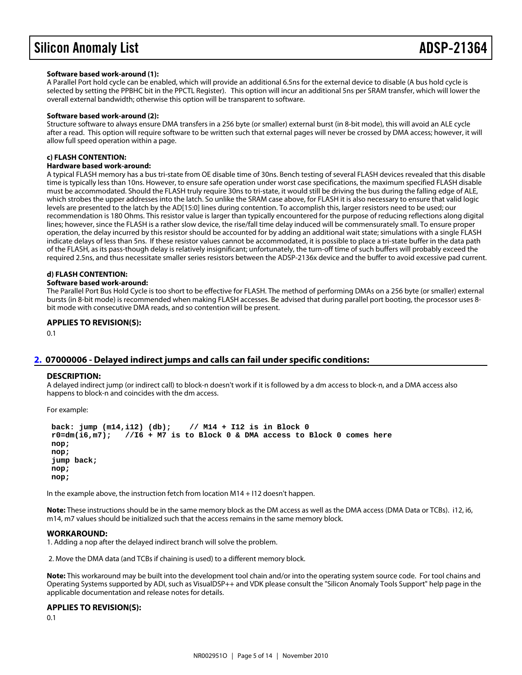### Software based work-around (1):

A Parallel Port hold cycle can be enabled, which will provide an additional 6.5ns for the external device to disable (A bus hold cycle is selected by setting the PPBHC bit in the PPCTL Register). This option will incur an additional 5ns per SRAM transfer, which will lower the overall external bandwidth; otherwise this option will be transparent to software.

### Software based work-around (2):

Structure software to always ensure DMA transfers in a 256 byte (or smaller) external burst (in 8-bit mode), this will avoid an ALE cycle after a read. This option will require software to be written such that external pages will never be crossed by DMA access; however, it will allow full speed operation within a page.

### c) FLASH CONTENTION:

### Hardware based work-around:

A typical FLASH memory has a bus tri-state from OE disable time of 30ns. Bench testing of several FLASH devices revealed that this disable time is typically less than 10ns. However, to ensure safe operation under worst case specifications, the maximum specified FLASH disable must be accommodated. Should the FLASH truly require 30ns to tri-state, it would still be driving the bus during the falling edge of ALE, which strobes the upper addresses into the latch. So unlike the SRAM case above, for FLASH it is also necessary to ensure that valid logic levels are presented to the latch by the AD[15:0] lines during contention. To accomplish this, larger resistors need to be used; our recommendation is 180 Ohms. This resistor value is larger than typically encountered for the purpose of reducing reflections along digital lines; however, since the FLASH is a rather slow device, the rise/fall time delay induced will be commensurately small. To ensure proper operation, the delay incurred by this resistor should be accounted for by adding an additional wait state; simulations with a single FLASH indicate delays of less than 5ns. If these resistor values cannot be accommodated, it is possible to place a tri-state buffer in the data path of the FLASH, as its pass-though delay is relatively insignificant; unfortunately, the turn-off time of such buffers will probably exceed the required 2.5ns, and thus necessitate smaller series resistors between the ADSP-2136x device and the buffer to avoid excessive pad current.

### d) FLASH CONTENTION:

### Software based work-around:

The Parallel Port Bus Hold Cycle is too short to be effective for FLASH. The method of performing DMAs on a 256 byte (or smaller) external bursts (in 8-bit mode) is recommended when making FLASH accesses. Be advised that during parallel port booting, the processor uses 8 bit mode with consecutive DMA reads, and so contention will be present.

APPLIES TO REVISION(S):

0.1

### <span id="page-4-0"></span>07000006 - Delayed indirect jumps and calls can fail under specific conditions:

### DESCRIPTION:

A delayed indirect jump (or indirect call) to block-n doesn't work if it is followed by a dm access to block-n, and a DMA access also happens to block-n and coincides with the dm access.

For example:

 back: jump (m14,i12) (db); // M14 + I12 is in Block 0  $r0=dm(i6,m7);$  //I6 + M7 is to Block 0 & DMA access to Block 0 comes here nop; nop; jump back; nop; nop;

In the example above, the instruction fetch from location M14 + I12 doesn't happen.

Note: These instructions should be in the same memory block as the DM access as well as the DMA access (DMA Data or TCBs). i12, i6, m14, m7 values should be initialized such that the access remains in the same memory block.

### WORKAROUND:

1. Adding a nop after the delayed indirect branch will solve the problem.

2. Move the DMA data (and TCBs if chaining is used) to a different memory block.

Note: This workaround may be built into the development tool chain and/or into the operating system source code. For tool chains and Operating Systems supported by ADI, such as VisualDSP++ and VDK please consult the "Silicon Anomaly Tools Support" help page in the applicable documentation and release notes for details.

APPLIES TO REVISION(S): 0.1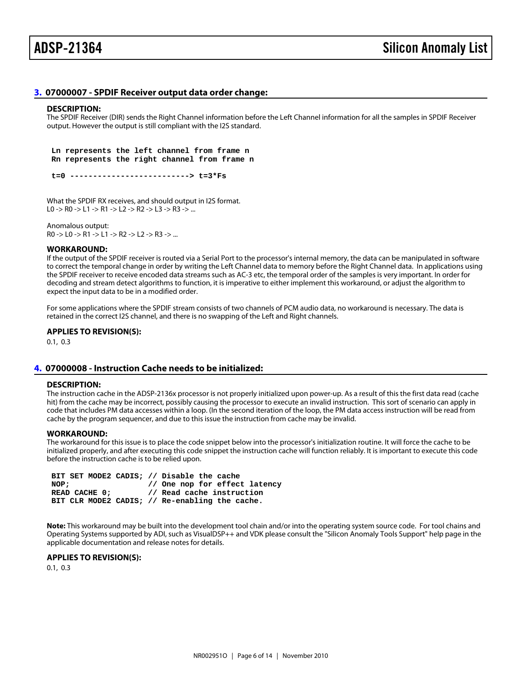### <span id="page-5-0"></span>[3.](#page-1-2) 07000007 - SPDIF Receiver output data order change:

### DESCRIPTION:

The SPDIF Receiver (DIR) sends the Right Channel information before the Left Channel information for all the samples in SPDIF Receiver output. However the output is still compliant with the I2S standard.

 Ln represents the left channel from frame n Rn represents the right channel from frame n

t=0 --------------------------> t=3\*Fs

What the SPDIF RX receives, and should output in I2S format. L0 -> R0 -> L1 -> R1 -> L2 -> R2 -> L3 -> R3 -> ...

Anomalous output:

R0 -> L0 -> R1 -> L1 -> R2 -> L2 -> R3 -> ...

### WORKAROUND:

If the output of the SPDIF receiver is routed via a Serial Port to the processor's internal memory, the data can be manipulated in software to correct the temporal change in order by writing the Left Channel data to memory before the Right Channel data. In applications using the SPDIF receiver to receive encoded data streams such as AC-3 etc, the temporal order of the samples is very important. In order for decoding and stream detect algorithms to function, it is imperative to either implement this workaround, or adjust the algorithm to expect the input data to be in a modified order.

For some applications where the SPDIF stream consists of two channels of PCM audio data, no workaround is necessary. The data is retained in the correct I2S channel, and there is no swapping of the Left and Right channels.

APPLIES TO REVISION(S):

0.1, 0.3

### <span id="page-5-1"></span>[4.](#page-1-3) 07000008 - Instruction Cache needs to be initialized:

### DESCRIPTION:

The instruction cache in the ADSP-2136x processor is not properly initialized upon power-up. As a result of this the first data read (cache hit) from the cache may be incorrect, possibly causing the processor to execute an invalid instruction. This sort of scenario can apply in code that includes PM data accesses within a loop. (In the second iteration of the loop, the PM data access instruction will be read from cache by the program sequencer, and due to this issue the instruction from cache may be invalid.

### WORKAROUND:

The workaround for this issue is to place the code snippet below into the processor's initialization routine. It will force the cache to be initialized properly, and after executing this code snippet the instruction cache will function reliably. It is important to execute this code before the instruction cache is to be relied upon.

 BIT SET MODE2 CADIS; // Disable the cache NOP;  $\frac{1}{2}$  One nop for effect latency READ CACHE 0; // Read cache instruction BIT CLR MODE2 CADIS; // Re-enabling the cache.

Note: This workaround may be built into the development tool chain and/or into the operating system source code. For tool chains and Operating Systems supported by ADI, such as VisualDSP++ and VDK please consult the "Silicon Anomaly Tools Support" help page in the applicable documentation and release notes for details.

APPLIES TO REVISION(S):

0.1, 0.3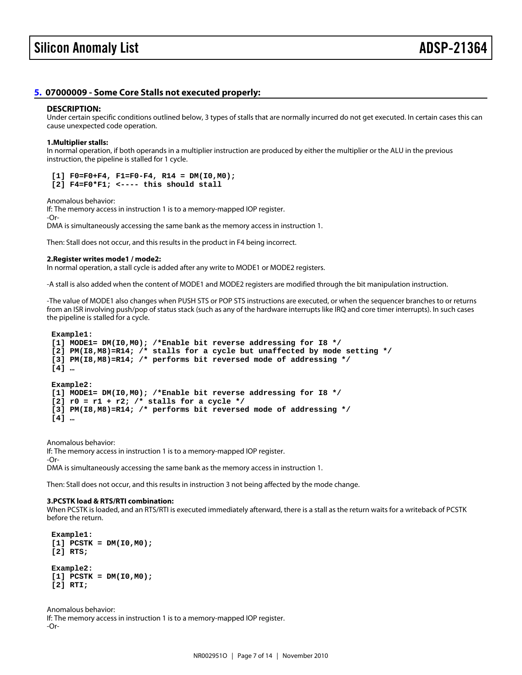### <span id="page-6-0"></span>[5.](#page-1-4) 07000009 - Some Core Stalls not executed properly:

### DESCRIPTION:

Under certain specific conditions outlined below, 3 types of stalls that are normally incurred do not get executed. In certain cases this can cause unexpected code operation.

1.Multiplier stalls:

In normal operation, if both operands in a multiplier instruction are produced by either the multiplier or the ALU in the previous instruction, the pipeline is stalled for 1 cycle.

 $[1]$  F0=F0+F4, F1=F0-F4, R14 = DM(I0,M0);  $[2]$  F4=F0\*F1; <---- this should stall

Anomalous behavior:

If: The memory access in instruction 1 is to a memory-mapped IOP register. -Or-

DMA is simultaneously accessing the same bank as the memory access in instruction 1.

Then: Stall does not occur, and this results in the product in F4 being incorrect.

2.Register writes mode1 / mode2:

In normal operation, a stall cycle is added after any write to MODE1 or MODE2 registers.

-A stall is also added when the content of MODE1 and MODE2 registers are modified through the bit manipulation instruction.

-The value of MODE1 also changes when PUSH STS or POP STS instructions are executed, or when the sequencer branches to or returns from an ISR involving push/pop of status stack (such as any of the hardware interrupts like IRQ and core timer interrupts). In such cases the pipeline is stalled for a cycle.

Example1:

 [1] MODE1= DM(I0,M0); /\*Enable bit reverse addressing for I8 \*/  $[2]$  PM(I8,M8)=R14; /\* stalls for a cycle but unaffected by mode setting \*/ [3] PM(I8,M8)=R14; /\* performs bit reversed mode of addressing \*/ [4] …

Example2:

[1] MODE1= DM(I0,M0); /\*Enable bit reverse addressing for I8 \*/

 $[2]$  r0 = r1 + r2; /\* stalls for a cycle \*/

[3] PM(I8,M8)=R14; /\* performs bit reversed mode of addressing \*/

[4] …

Anomalous behavior:

If: The memory access in instruction 1 is to a memory-mapped IOP register.

-Or-

DMA is simultaneously accessing the same bank as the memory access in instruction 1.

Then: Stall does not occur, and this results in instruction 3 not being affected by the mode change.

3.PCSTK load & RTS/RTI combination:

When PCSTK is loaded, and an RTS/RTI is executed immediately afterward, there is a stall as the return waits for a writeback of PCSTK before the return.

 Example1:  $[1]$  PCSTK = DM( $[0, M0)$ ; [2] RTS;

 Example2:  $[1]$  PCSTK = DM(I0,M0); [2] RTI;

Anomalous behavior: If: The memory access in instruction 1 is to a memory-mapped IOP register. -Or-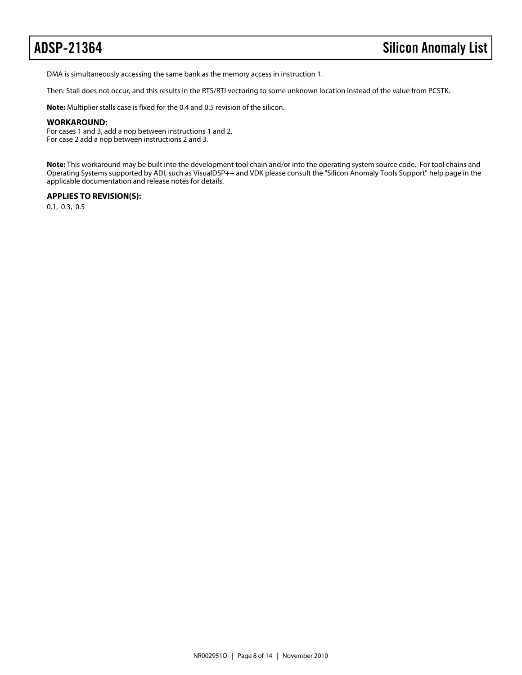DMA is simultaneously accessing the same bank as the memory access in instruction 1.

Then: Stall does not occur, and this results in the RTS/RTI vectoring to some unknown location instead of the value from PCSTK.

**Note:** Multiplier stalls case is fixed for the 0.4 and 0.5 revision of the silicon.

### **WORKAROUND:**

For cases 1 and 3, add a nop between instructions 1 and 2. For case 2 add a nop between instructions 2 and 3.

**Note:** This workaround may be built into the development tool chain and/or into the operating system source code. For tool chains and Operating Systems supported by ADI, such as VisualDSP++ and VDK please consult the "Silicon Anomaly Tools Support" help page in the applicable documentation and release notes for details.

### **APPLIES TO REVISION(S):**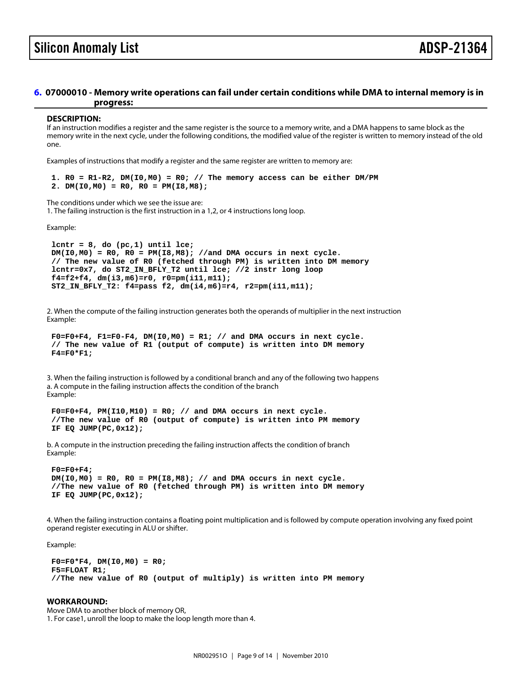### <span id="page-8-0"></span>[6.](#page-1-5) 07000010 - Memory write operations can fail under certain conditions while DMA to internal memory is in progress:

### DESCRIPTION:

If an instruction modifies a register and the same register is the source to a memory write, and a DMA happens to same block as the memory write in the next cycle, under the following conditions, the modified value of the register is written to memory instead of the old one.

Examples of instructions that modify a register and the same register are written to memory are:

1.  $R0 = R1-R2$ ,  $DM(10, MO) = R0$ ; // The memory access can be either DM/PM 2. DM( $10, M0$ ) = R0, R0 = PM( $18, M8$ );

The conditions under which we see the issue are: 1. The failing instruction is the first instruction in a 1,2, or 4 instructions long loop.

Example:

lcntr =  $8$ , do (pc, 1) until lce;  $DM(10,MO) = RO$ ,  $RO = PM(18,MB)$ ; //and DMA occurs in next cycle. // The new value of R0 (fetched through PM) is written into DM memory lcntr=0x7, do ST2\_IN\_BFLY\_T2 until lce; //2 instr long loop f4=f2+f4, dm(i3,m6)=r0, r0=pm(i11,m11); ST2\_IN\_BFLY\_T2: f4=pass f2, dm(i4,m6)=r4, r2=pm(i11,m11);

2. When the compute of the failing instruction generates both the operands of multiplier in the next instruction Example:

 $F0=F0+F4$ ,  $F1=F0-F4$ ,  $DM(10,MO) = R1$ ; // and  $DMA$  occurs in next cycle. // The new value of R1 (output of compute) is written into DM memory  $F4 = F0*F1;$ 

3. When the failing instruction is followed by a conditional branch and any of the following two happens a. A compute in the failing instruction affects the condition of the branch Example:

 $F0=F0+F4$ ,  $PM(110, M10) = R0$ ; // and DMA occurs in next cycle. //The new value of R0 (output of compute) is written into PM memory IF EQ JUMP(PC,0x12);

b. A compute in the instruction preceding the failing instruction affects the condition of branch Example:

 F0=F0+F4;  $DM(10, M0) = RO$ ,  $RO = PM(18, M8)$ ; // and DMA occurs in next cycle. //The new value of R0 (fetched through PM) is written into DM memory IF EQ JUMP(PC,0x12);

4. When the failing instruction contains a floating point multiplication and is followed by compute operation involving any fixed point operand register executing in ALU or shifter.

Example:

 $F0 = F0*F4$ , DM( $10, MO$ ) = R0; F5=FLOAT R1; //The new value of R0 (output of multiply) is written into PM memory

WORKAROUND: Move DMA to another block of memory OR, 1. For case1, unroll the loop to make the loop length more than 4.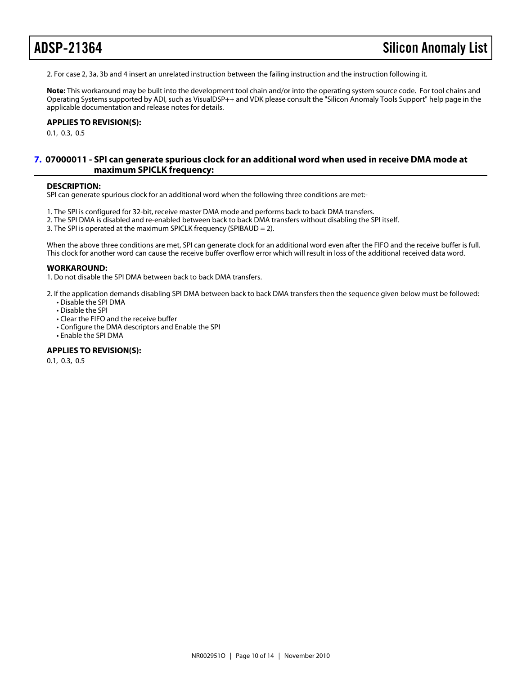2. For case 2, 3a, 3b and 4 insert an unrelated instruction between the failing instruction and the instruction following it.

Note: This workaround may be built into the development tool chain and/or into the operating system source code. For tool chains and Operating Systems supported by ADI, such as VisualDSP++ and VDK please consult the "Silicon Anomaly Tools Support" help page in the applicable documentation and release notes for details.

APPLIES TO REVISION(S):

0.1, 0.3, 0.5

### <span id="page-9-0"></span>[7.](#page-1-6) 07000011 - SPI can generate spurious clock for an additional word when used in receive DMA mode at maximum SPICLK frequency:

### DESCRIPTION:

SPI can generate spurious clock for an additional word when the following three conditions are met:-

- 1. The SPI is configured for 32-bit, receive master DMA mode and performs back to back DMA transfers.
- 2. The SPI DMA is disabled and re-enabled between back to back DMA transfers without disabling the SPI itself.
- 3. The SPI is operated at the maximum SPICLK frequency (SPIBAUD = 2).

When the above three conditions are met, SPI can generate clock for an additional word even after the FIFO and the receive buffer is full. This clock for another word can cause the receive buffer overflow error which will result in loss of the additional received data word.

### WORKAROUND:

1. Do not disable the SPI DMA between back to back DMA transfers.

- 2. If the application demands disabling SPI DMA between back to back DMA transfers then the sequence given below must be followed: • Disable the SPI DMA
	- Disable the SPI
	- Clear the FIFO and the receive buffer
	- Configure the DMA descriptors and Enable the SPI
	- Enable the SPI DMA

### APPLIES TO REVISION(S):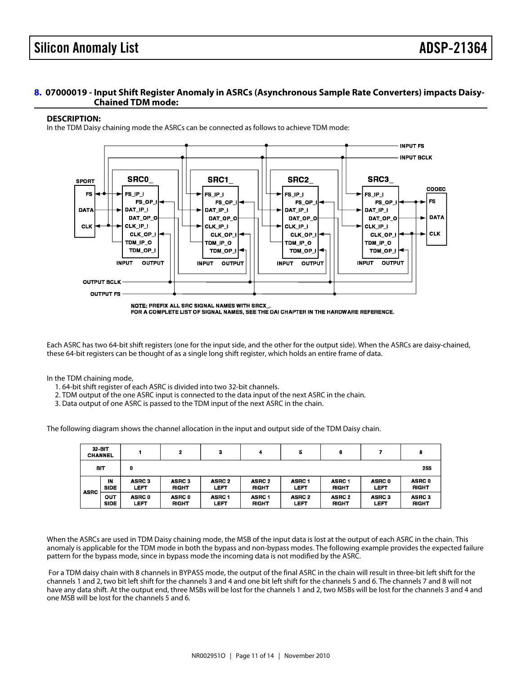### <span id="page-10-0"></span>[8.](#page-1-7) 07000019 - Input Shift Register Anomaly in ASRCs (Asynchronous Sample Rate Converters) impacts Daisy-Chained TDM mode:

### DESCRIPTION:

In the TDM Daisy chaining mode the ASRCs can be connected as follows to achieve TDM mode:

Each ASRC has two 64-bit shift registers (one for the input side, and the other for the output side). When the ASRCs are daisy-chained, these 64-bit registers can be thought of as a single long shift register, which holds an entire frame of data.

In the TDM chaining mode,

- 1. 64-bit shift register of each ASRC is divided into two 32-bit channels.
- 2. TDM output of the one ASRC input is connected to the data input of the next ASRC in the chain.
- 3. Data output of one ASRC is passed to the TDM input of the next ASRC in the chain.

The following diagram shows the channel allocation in the input and output side of the TDM Daisy chain.

When the ASRCs are used in TDM Daisy chaining mode, the MSB of the input data is lost at the output of each ASRC in the chain. This anomaly is applicable for the TDM mode in both the bypass and non-bypass modes. The following example provides the expected failure pattern for the bypass mode, since in bypass mode the incoming data is not modified by the ASRC.

 For a TDM daisy chain with 8 channels in BYPASS mode, the output of the final ASRC in the chain will result in three-bit left shift for the channels 1 and 2, two bit left shift for the channels 3 and 4 and one bit left shift for the channels 5 and 6. The channels 7 and 8 will not have any data shift. At the output end, three MSBs will be lost for the channels 1 and 2, two MSBs will be lost for the channels 3 and 4 and one MSB will be lost for the channels 5 and 6.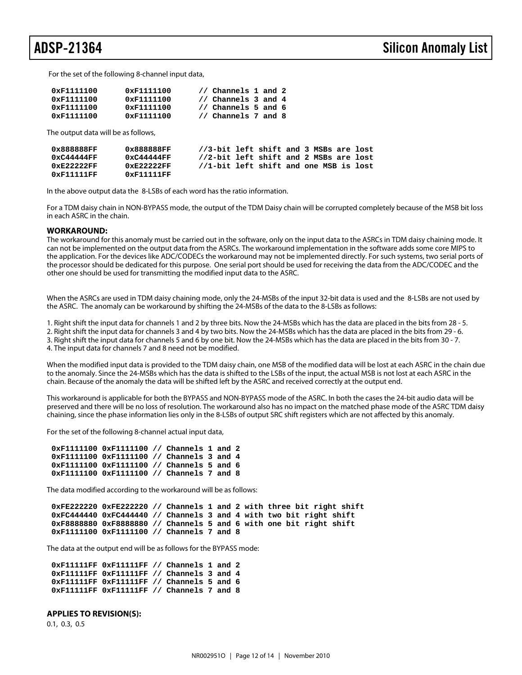For the set of the following 8-channel input data,

| 0xF1111100 | 0xF1111100         | // Channels 1 and 2 |
|------------|--------------------|---------------------|
| 0xF1111100 | 0xF1111100         | // Channels 3 and 4 |
| 0xF1111100 | 0xF1111100         | // Channels 5 and 6 |
| 0xF1111100 | $0 \times 1111100$ | // Channels 7 and 8 |

The output data will be as follows,

| 0x888888FF    | 0x888888FF    | //3-bit left shift and 3 MSBs are lost |  |  |  |  |
|---------------|---------------|----------------------------------------|--|--|--|--|
| 0xC44444FF    | 0xC44444FF    | //2-bit left shift and 2 MSBs are lost |  |  |  |  |
| $0xE2222F$ FF | $0xE2222F$ FF | //1-bit left shift and one MSB is lost |  |  |  |  |
| 0xF11111FF    | 0xF11111FF    |                                        |  |  |  |  |

In the above output data the 8-LSBs of each word has the ratio information.

For a TDM daisy chain in NON-BYPASS mode, the output of the TDM Daisy chain will be corrupted completely because of the MSB bit loss in each ASRC in the chain.

### **WORKAROUND:**

The workaround for this anomaly must be carried out in the software, only on the input data to the ASRCs in TDM daisy chaining mode. It can not be implemented on the output data from the ASRCs. The workaround implementation in the software adds some core MIPS to the application. For the devices like ADC/CODECs the workaround may not be implemented directly. For such systems, two serial ports of the processor should be dedicated for this purpose. One serial port should be used for receiving the data from the ADC/CODEC and the other one should be used for transmitting the modified input data to the ASRC.

When the ASRCs are used in TDM daisy chaining mode, only the 24-MSBs of the input 32-bit data is used and the 8-LSBs are not used by the ASRC. The anomaly can be workaround by shifting the 24-MSBs of the data to the 8-LSBs as follows:

1. Right shift the input data for channels 1 and 2 by three bits. Now the 24-MSBs which has the data are placed in the bits from 28 - 5.

2. Right shift the input data for channels 3 and 4 by two bits. Now the 24-MSBs which has the data are placed in the bits from 29 - 6. 3. Right shift the input data for channels 5 and 6 by one bit. Now the 24-MSBs which has the data are placed in the bits from 30 - 7.

4. The input data for channels 7 and 8 need not be modified.

When the modified input data is provided to the TDM daisy chain, one MSB of the modified data will be lost at each ASRC in the chain due to the anomaly. Since the 24-MSBs which has the data is shifted to the LSBs of the input, the actual MSB is not lost at each ASRC in the chain. Because of the anomaly the data will be shifted left by the ASRC and received correctly at the output end.

This workaround is applicable for both the BYPASS and NON-BYPASS mode of the ASRC. In both the cases the 24-bit audio data will be preserved and there will be no loss of resolution. The workaround also has no impact on the matched phase mode of the ASRC TDM daisy chaining, since the phase information lies only in the 8-LSBs of output SRC shift registers which are not affected by this anomaly.

For the set of the following 8-channel actual input data,

```
 0xF1111100 0xF1111100 // Channels 1 and 2
0xF1111100 0xF1111100 // Channels 3 and 4
0xF1111100 0xF1111100 // Channels 5 and 6
0xF1111100 0xF1111100 // Channels 7 and 8
```
The data modified according to the workaround will be as follows:

 **0xFE222220 0xFE222220 // Channels 1 and 2 with three bit right shift 0xFC444440 0xFC444440 // Channels 3 and 4 with two bit right shift 0xF8888880 0xF8888880 // Channels 5 and 6 with one bit right shift 0xF1111100 0xF1111100 // Channels 7 and 8**

The data at the output end will be as follows for the BYPASS mode:

 **0xF11111FF 0xF11111FF // Channels 1 and 2 0xF11111FF 0xF11111FF // Channels 3 and 4 0xF11111FF 0xF11111FF // Channels 5 and 6 0xF11111FF 0xF11111FF // Channels 7 and 8**

### **APPLIES TO REVISION(S):**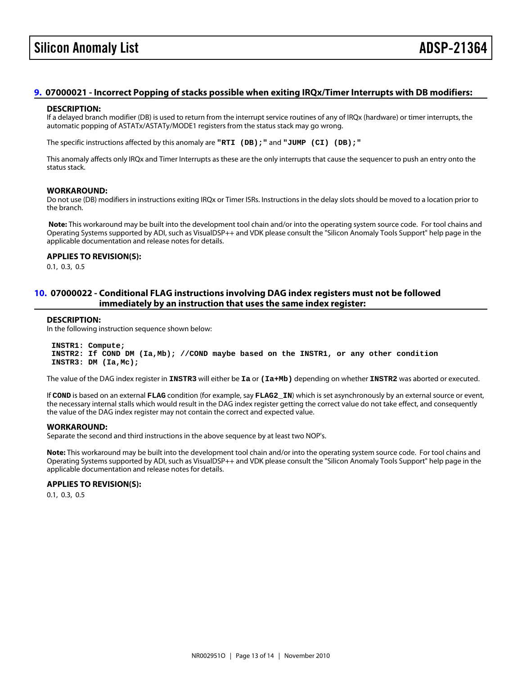## Silicon Anomaly List **ADSP-213**

### <span id="page-12-1"></span>[9.](#page-1-8) 07000021 - Incorrect Popping of stacks possible when exiting IRQx/Timer Interrupts with DB modifiers:

### DESCRIPTION:

If a delayed branch modifier (DB) is used to return from the interrupt service routines of any of IRQx (hardware) or timer interrupts, the automatic popping of ASTATx/ASTATy/MODE1 registers from the status stack may go wrong.

The specific instructions affected by this anomaly are "RTI (DB);" and "JUMP (CI) (DB);"

This anomaly affects only IRQx and Timer Interrupts as these are the only interrupts that cause the sequencer to push an entry onto the status stack.

### WORKAROUND:

Do not use (DB) modifiers in instructions exiting IRQx or Timer ISRs. Instructions in the delay slots should be moved to a location prior to the branch.

Note: This workaround may be built into the development tool chain and/or into the operating system source code. For tool chains and Operating Systems supported by ADI, such as VisualDSP++ and VDK please consult the "Silicon Anomaly Tools Support" help page in the applicable documentation and release notes for details.

APPLIES TO REVISION(S): 0.1, 0.3, 0.5

### <span id="page-12-0"></span>[10.](#page-1-9) 07000022 - Conditional FLAG instructions involving DAG index registers must not be followed immediately by an instruction that uses the same index register:

### DESCRIPTION:

In the following instruction sequence shown below:

 INSTR1: Compute; INSTR2: If COND DM (Ia,Mb); //COND maybe based on the INSTR1, or any other condition INSTR3: DM (Ia,Mc);

The value of the DAG index register in INSTR3 will either be Ia or (Ia+Mb) depending on whether INSTR2 was aborted or executed.

If COND is based on an external FLAG condition (for example, say FLAG2\_IN) which is set asynchronously by an external source or event, the necessary internal stalls which would result in the DAG index register getting the correct value do not take effect, and consequently the value of the DAG index register may not contain the correct and expected value.

### WORKAROUND:

Separate the second and third instructions in the above sequence by at least two NOP's.

Note: This workaround may be built into the development tool chain and/or into the operating system source code. For tool chains and Operating Systems supported by ADI, such as VisualDSP++ and VDK please consult the "Silicon Anomaly Tools Support" help page in the applicable documentation and release notes for details.

APPLIES TO REVISION(S): 0.1, 0.3, 0.5